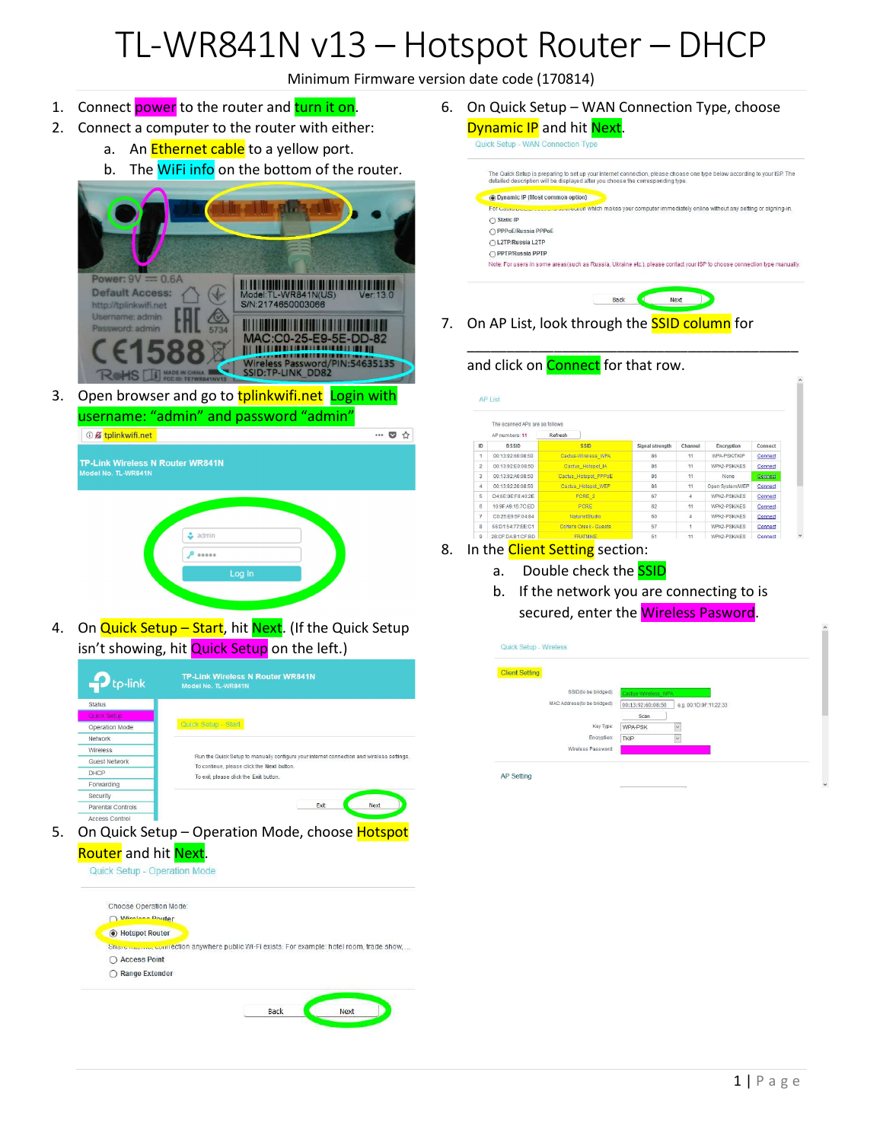## TL-WR841N v13 – Hotspot Router – DHCP

Minimum Firmware version date code (170814)

- 1. Connect power to the router and turn it on.
- 2. Connect a computer to the router with either:
	- a. An **Ethernet cable** to a yellow port.
	- b. The WiFi info on the bottom of the router.



3. Open browser and go to tplinkwifi.net Login with username: "admin" and password "admin"



4. On Quick Setup – Start, hit Next. (If the Quick Setup isn't showing, hit **Quick Setup** on the left.)

| tp-link                  | <b>TP-Link Wireless N Router WR841N</b><br>Model No. TL-WR841N                                                                          |
|--------------------------|-----------------------------------------------------------------------------------------------------------------------------------------|
| <b>Status</b>            |                                                                                                                                         |
| Quick Setup              |                                                                                                                                         |
| Operation Mode           | Quick Setup - Start                                                                                                                     |
| Network                  |                                                                                                                                         |
| Wireless                 |                                                                                                                                         |
| Guest Network            | Run the Quick Setup to manually configure your internet connection and wireless settings.<br>To continue, please click the Next button. |
| DHCP                     | To exit, please click the Exit button.                                                                                                  |
| Forwarding               |                                                                                                                                         |
| Security                 |                                                                                                                                         |
| <b>Parental Controls</b> | Exit<br>Next                                                                                                                            |
| Accord Control           |                                                                                                                                         |

5. On Quick Setup - Operation Mode, choose Hotspot **Router** and hit **Next**.



6. On Quick Setup – WAN Connection Type, choose Dynamic IP and hit Next. Quick Setup - WAN Connection Typ The Quick Setup is preparing to set up your internet connection, please choose one type below according to your ISP. The<br>detailed description will be displayed after you choose the corresponding type.





\_\_\_\_\_\_\_\_\_\_\_\_\_\_\_\_\_\_\_\_\_\_\_\_\_\_\_\_\_\_\_\_\_\_\_\_\_\_\_\_\_\_

7. On AP List, look through the **SSID column** for

## and click on **Connect** for that row.

|                | The scanned APs are as follows |                         |                 |                |                 |                |
|----------------|--------------------------------|-------------------------|-----------------|----------------|-----------------|----------------|
|                | AP numbers: 11                 | Refresh                 |                 |                |                 |                |
| ID             | <b>BSSID</b>                   | <b>SSID</b>             | Signal strength | Channel        | Encryption      | Connect        |
| $\overline{1}$ | 00:13:92:60:08:50              | Cactus-Wireless WPA     | 86              | 11             | WPA-PSK/TKIP    | Connect        |
| $\overline{c}$ | 00:13:92:E0:08:50              | Cactus Hotspot IA       | 86              | 11             | WPA2-PSK/AES    | Connect        |
| 3              | 00:13:92:A0:08:50              | Cactus Hotspot PPPoE    | 86              | 11             | None            | Connect        |
| 4              | 00:13:92:20:08:50              | Cactus_Hotspot_WEP      | 86              | 11             | Open System/WEP | Connect        |
| 5              | D4:6E:0E:F8:40:2E              | PCRE 2                  | 67              | 4              | WPA2-PSK/AES    | Connect        |
| $\overline{6}$ | 10:9F:A9:15:7C:FD              | PCRE                    | 62              | 11             | WPA2-PSK/AFS    | Connect        |
| $\overline{7}$ | C0:25:E9:5F:04:84              | NaturistStudio          | 60              | $\overline{4}$ | WPA2-PSK/AES    | Connect        |
| 8              | 66:D1:54:77:EE:C1              | Colter's Creek - Guests | 57              | 1              | WPA2-PSK/AFS    | Connect        |
| 9              | 28:CF:DA:B1:CF:BD              | <b>FRATMIKE</b>         | 51              | 11             | WPA2-PSK/AES    | <b>Connect</b> |

## 8. In the **Client Setting** section:

- a. Double check the **SSID**
- b. If the network you are connecting to is secured, enter the Wireless Pasword.

| <b>Client Setting</b>       |                                             |
|-----------------------------|---------------------------------------------|
| SSID(to be bridged):        | Cactus Wireless WPA                         |
| MAC Address(to be bridged): | 00:13:92:60:08:50<br>e.g. 00:1D:0F:11:22:33 |
|                             | Scan                                        |
| Key Type:                   | $\check{ }$<br>WPA-PSK                      |
| Encryption:                 | <b>TKIP</b><br>$\checkmark$                 |
| Wireless Password:          |                                             |